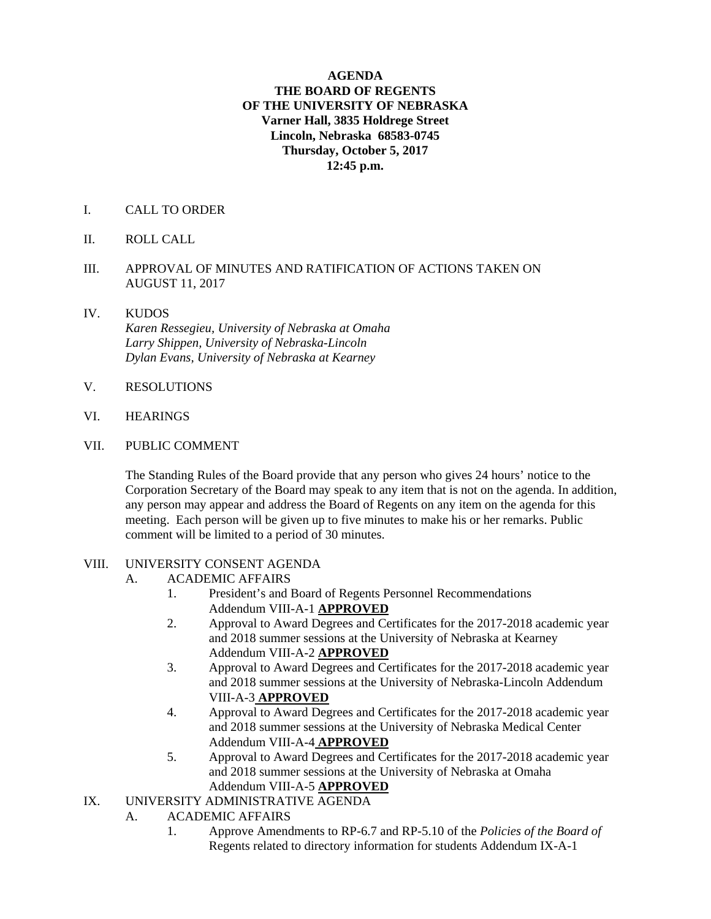## **AGENDA THE BOARD OF REGENTS OF THE UNIVERSITY OF NEBRASKA Varner Hall, 3835 Holdrege Street Lincoln, Nebraska 68583-0745 Thursday, October 5, 2017 12:45 p.m.**

- I. CALL TO ORDER
- II. ROLL CALL
- III. APPROVAL OF MINUTES AND RATIFICATION OF ACTIONS TAKEN ON AUGUST 11, 2017
- IV. KUDOS  *Karen Ressegieu, University of Nebraska at Omaha Larry Shippen, University of Nebraska-Lincoln Dylan Evans, University of Nebraska at Kearney*
- V. RESOLUTIONS
- VI. HEARINGS
- VII. PUBLIC COMMENT

The Standing Rules of the Board provide that any person who gives 24 hours' notice to the Corporation Secretary of the Board may speak to any item that is not on the agenda. In addition, any person may appear and address the Board of Regents on any item on the agenda for this meeting. Each person will be given up to five minutes to make his or her remarks. Public comment will be limited to a period of 30 minutes.

## VIII. UNIVERSITY CONSENT AGENDA

- A. ACADEMIC AFFAIRS
	- 1. President's and Board of Regents Personnel Recommendations Addendum VIII-A-1 **APPROVED**
	- 2. Approval to Award Degrees and Certificates for the 2017-2018 academic year and 2018 summer sessions at the University of Nebraska at Kearney Addendum VIII-A-2 **APPROVED**
	- 3. Approval to Award Degrees and Certificates for the 2017-2018 academic year and 2018 summer sessions at the University of Nebraska-Lincoln Addendum VIII-A-3 **APPROVED**
	- 4. Approval to Award Degrees and Certificates for the 2017-2018 academic year and 2018 summer sessions at the University of Nebraska Medical Center Addendum VIII-A-4 **APPROVED**
	- 5. Approval to Award Degrees and Certificates for the 2017-2018 academic year and 2018 summer sessions at the University of Nebraska at Omaha Addendum VIII-A-5 **APPROVED**
- IX. UNIVERSITY ADMINISTRATIVE AGENDA
	- A. ACADEMIC AFFAIRS
		- 1. Approve Amendments to RP-6.7 and RP-5.10 of the *Policies of the Board of*  Regents related to directory information for students Addendum IX-A-1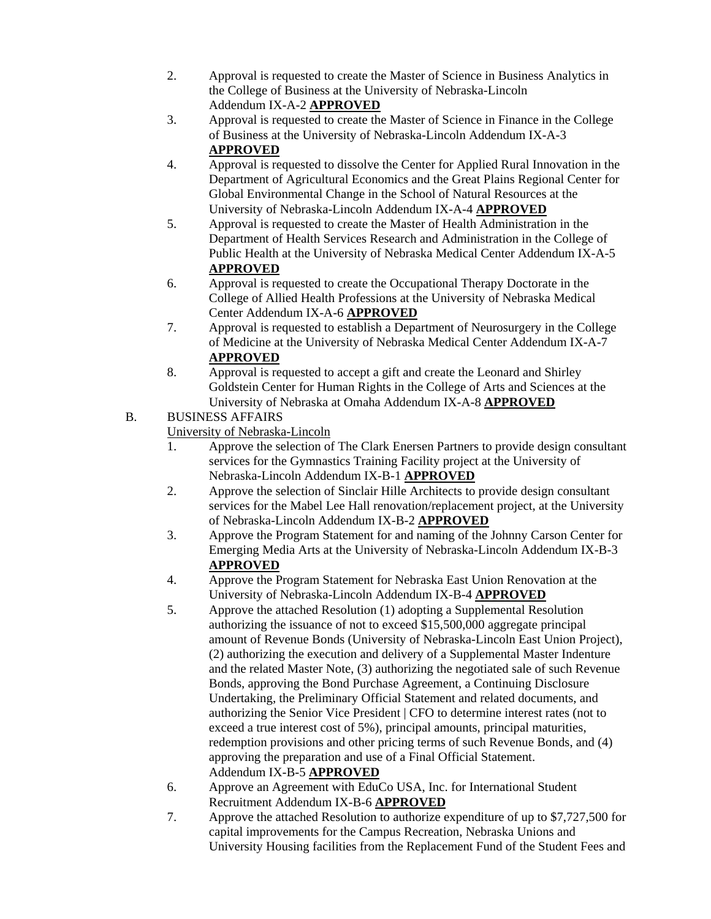- 2. Approval is requested to create the Master of Science in Business Analytics in the College of Business at the University of Nebraska-Lincoln Addendum IX-A-2 **APPROVED**
- 3. Approval is requested to create the Master of Science in Finance in the College of Business at the University of Nebraska-Lincoln Addendum IX-A-3 **APPROVED**
- 4. Approval is requested to dissolve the Center for Applied Rural Innovation in the Department of Agricultural Economics and the Great Plains Regional Center for Global Environmental Change in the School of Natural Resources at the University of Nebraska-Lincoln Addendum IX-A-4 **APPROVED**
- 5. Approval is requested to create the Master of Health Administration in the Department of Health Services Research and Administration in the College of Public Health at the University of Nebraska Medical Center Addendum IX-A-5 **APPROVED**
- 6. Approval is requested to create the Occupational Therapy Doctorate in the College of Allied Health Professions at the University of Nebraska Medical Center Addendum IX-A-6 **APPROVED**
- 7. Approval is requested to establish a Department of Neurosurgery in the College of Medicine at the University of Nebraska Medical Center Addendum IX-A-7 **APPROVED**
- 8. Approval is requested to accept a gift and create the Leonard and Shirley Goldstein Center for Human Rights in the College of Arts and Sciences at the University of Nebraska at Omaha Addendum IX-A-8 **APPROVED**

## B. BUSINESS AFFAIRS

University of Nebraska-Lincoln

- 1. Approve the selection of The Clark Enersen Partners to provide design consultant services for the Gymnastics Training Facility project at the University of Nebraska-Lincoln Addendum IX-B-1 **APPROVED**
- 2. Approve the selection of Sinclair Hille Architects to provide design consultant services for the Mabel Lee Hall renovation/replacement project, at the University of Nebraska-Lincoln Addendum IX-B-2 **APPROVED**
- 3. Approve the Program Statement for and naming of the Johnny Carson Center for Emerging Media Arts at the University of Nebraska-Lincoln Addendum IX-B-3 **APPROVED**
- 4. Approve the Program Statement for Nebraska East Union Renovation at the University of Nebraska-Lincoln Addendum IX-B-4 **APPROVED**
- 5. Approve the attached Resolution (1) adopting a Supplemental Resolution authorizing the issuance of not to exceed \$15,500,000 aggregate principal amount of Revenue Bonds (University of Nebraska-Lincoln East Union Project), (2) authorizing the execution and delivery of a Supplemental Master Indenture and the related Master Note, (3) authorizing the negotiated sale of such Revenue Bonds, approving the Bond Purchase Agreement, a Continuing Disclosure Undertaking, the Preliminary Official Statement and related documents, and authorizing the Senior Vice President | CFO to determine interest rates (not to exceed a true interest cost of 5%), principal amounts, principal maturities, redemption provisions and other pricing terms of such Revenue Bonds, and (4) approving the preparation and use of a Final Official Statement. Addendum IX-B-5 **APPROVED**
- 6. Approve an Agreement with EduCo USA, Inc. for International Student Recruitment Addendum IX-B-6 **APPROVED**
- 7. Approve the attached Resolution to authorize expenditure of up to \$7,727,500 for capital improvements for the Campus Recreation, Nebraska Unions and University Housing facilities from the Replacement Fund of the Student Fees and